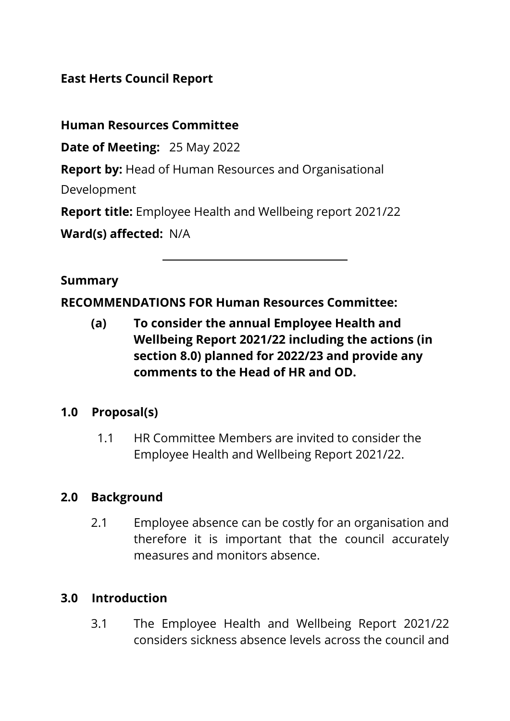### **East Herts Council Report**

**Human Resources Committee** 

**Date of Meeting:** 25 May 2022

**Report by:** Head of Human Resources and Organisational

Development

**Report title:** Employee Health and Wellbeing report 2021/22

**Ward(s) affected:** N/A

#### **Summary**

**RECOMMENDATIONS FOR Human Resources Committee:** 

**(a) To consider the annual Employee Health and Wellbeing Report 2021/22 including the actions (in section 8.0) planned for 2022/23 and provide any comments to the Head of HR and OD.**

### **1.0 Proposal(s)**

1.1 HR Committee Members are invited to consider the Employee Health and Wellbeing Report 2021/22.

### **2.0 Background**

2.1 Employee absence can be costly for an organisation and therefore it is important that the council accurately measures and monitors absence.

### **3.0 Introduction**

3.1 The Employee Health and Wellbeing Report 2021/22 considers sickness absence levels across the council and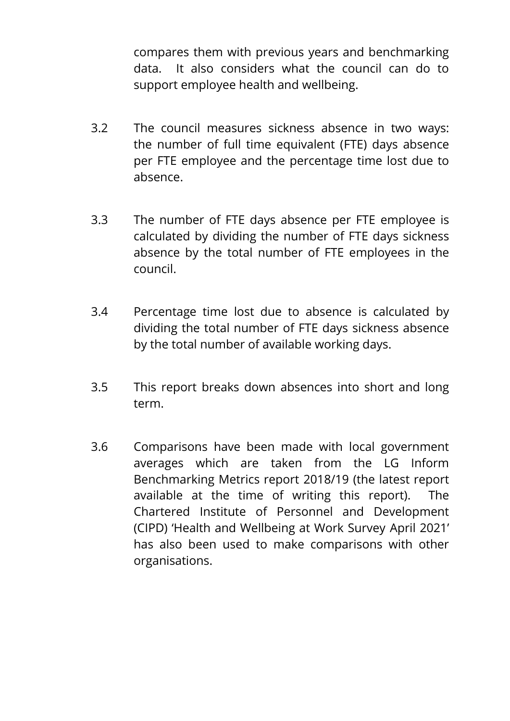compares them with previous years and benchmarking data. It also considers what the council can do to support employee health and wellbeing.

- 3.2 The council measures sickness absence in two ways: the number of full time equivalent (FTE) days absence per FTE employee and the percentage time lost due to absence.
- 3.3 The number of FTE days absence per FTE employee is calculated by dividing the number of FTE days sickness absence by the total number of FTE employees in the council.
- 3.4 Percentage time lost due to absence is calculated by dividing the total number of FTE days sickness absence by the total number of available working days.
- 3.5 This report breaks down absences into short and long term.
- 3.6 Comparisons have been made with local government averages which are taken from the LG Inform Benchmarking Metrics report 2018/19 (the latest report available at the time of writing this report). The Chartered Institute of Personnel and Development (CIPD) 'Health and Wellbeing at Work Survey April 2021' has also been used to make comparisons with other organisations.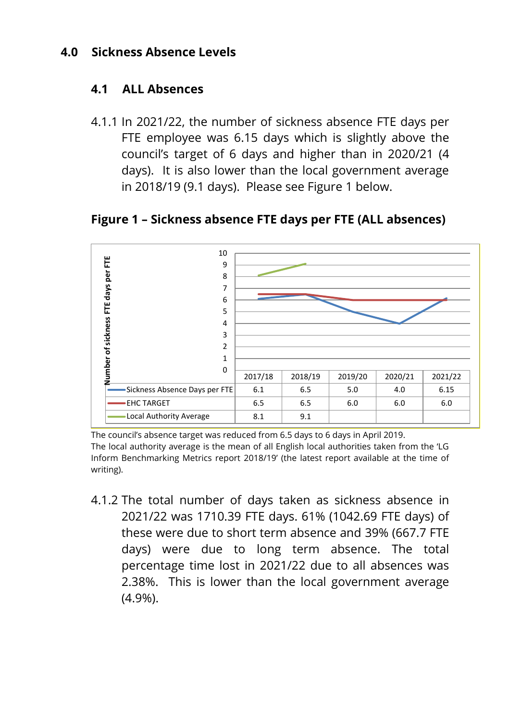#### **4.0 Sickness Absence Levels**

#### **4.1 ALL Absences**

4.1.1 In 2021/22, the number of sickness absence FTE days per FTE employee was 6.15 days which is slightly above the council's target of 6 days and higher than in 2020/21 (4 days). It is also lower than the local government average in 2018/19 (9.1 days). Please see Figure 1 below.

10 Number of sickness FTE days per FTE **Number of sickness FTE days per FTE**9 8 7 6 5 4 3 2 1 0 2017/18 2018/19 2019/20 2020/21 2021/22 Sickness Absence Days per FTE  $\begin{array}{|c|c|c|c|c|c|c|c|} \hline \end{array}$  6.1  $\begin{array}{|c|c|c|c|c|c|} \hline \end{array}$  6.15  $\begin{array}{|c|c|c|c|c|} \hline \end{array}$  6.15  $\hline \end{array}$  6.15 EHC TARGET  $\begin{array}{|c|c|c|c|c|c|c|c|c|} \hline \text{EHC} & \text{TARGET} & \text{S.5} & \text{S.5} & \text{S.0} & \text{S.0} & \text{S.0} \ \hline \end{array}$ Local Authority Average  $\begin{array}{|c|c|c|c|c|} \hline \text{Local Authority Average} & \text{8.1} & \text{9.1} \ \hline \end{array}$ 

#### **Figure 1 – Sickness absence FTE days per FTE (ALL absences)**

The council's absence target was reduced from 6.5 days to 6 days in April 2019. The local authority average is the mean of all English local authorities taken from the 'LG Inform Benchmarking Metrics report 2018/19' (the latest report available at the time of writing).

4.1.2 The total number of days taken as sickness absence in 2021/22 was 1710.39 FTE days. 61% (1042.69 FTE days) of these were due to short term absence and 39% (667.7 FTE days) were due to long term absence. The total percentage time lost in 2021/22 due to all absences was 2.38%. This is lower than the local government average (4.9%).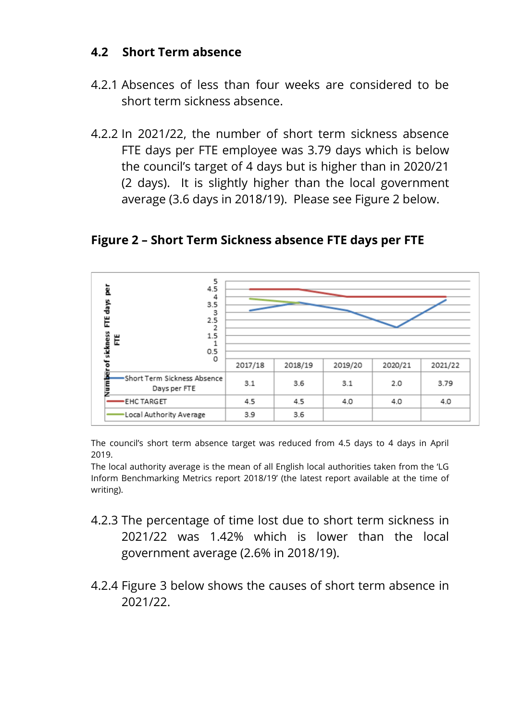#### **4.2 Short Term absence**

- 4.2.1 Absences of less than four weeks are considered to be short term sickness absence.
- 4.2.2 In 2021/22, the number of short term sickness absence FTE days per FTE employee was 3.79 days which is below the council's target of 4 days but is higher than in 2020/21 (2 days). It is slightly higher than the local government average (3.6 days in 2018/19). Please see Figure 2 below.

**Figure 2 – Short Term Sickness absence FTE days per FTE**



The council's short term absence target was reduced from 4.5 days to 4 days in April 2019.

The local authority average is the mean of all English local authorities taken from the 'LG Inform Benchmarking Metrics report 2018/19' (the latest report available at the time of writing).

- 4.2.3 The percentage of time lost due to short term sickness in 2021/22 was 1.42% which is lower than the local government average (2.6% in 2018/19).
- 4.2.4 Figure 3 below shows the causes of short term absence in 2021/22.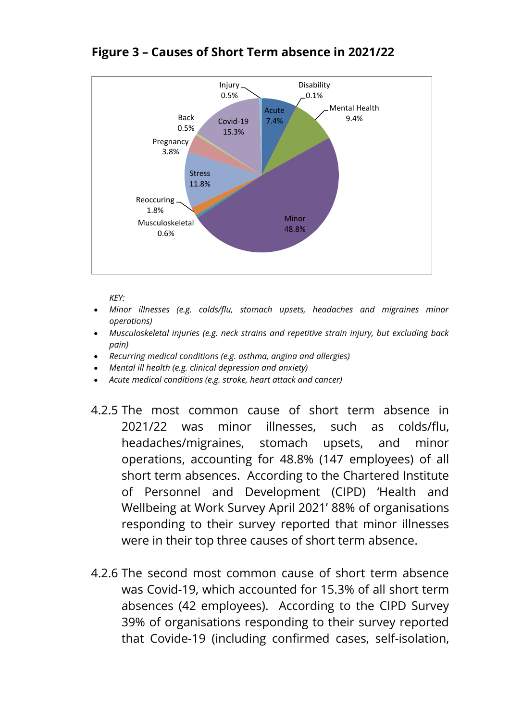

#### **Figure 3 – Causes of Short Term absence in 2021/22**

*KEY:*

- *Minor illnesses (e.g. colds/flu, stomach upsets, headaches and migraines minor operations)*
- *Musculoskeletal injuries (e.g. neck strains and repetitive strain injury, but excluding back pain)*
- *Recurring medical conditions (e.g. asthma, angina and allergies)*
- *Mental ill health (e.g. clinical depression and anxiety)*
- *Acute medical conditions (e.g. stroke, heart attack and cancer)*
- 4.2.5 The most common cause of short term absence in 2021/22 was minor illnesses, such as colds/flu, headaches/migraines, stomach upsets, and minor operations, accounting for 48.8% (147 employees) of all short term absences. According to the Chartered Institute of Personnel and Development (CIPD) 'Health and Wellbeing at Work Survey April 2021' 88% of organisations responding to their survey reported that minor illnesses were in their top three causes of short term absence.
- 4.2.6 The second most common cause of short term absence was Covid-19, which accounted for 15.3% of all short term absences (42 employees). According to the CIPD Survey 39% of organisations responding to their survey reported that Covide-19 (including confirmed cases, self-isolation,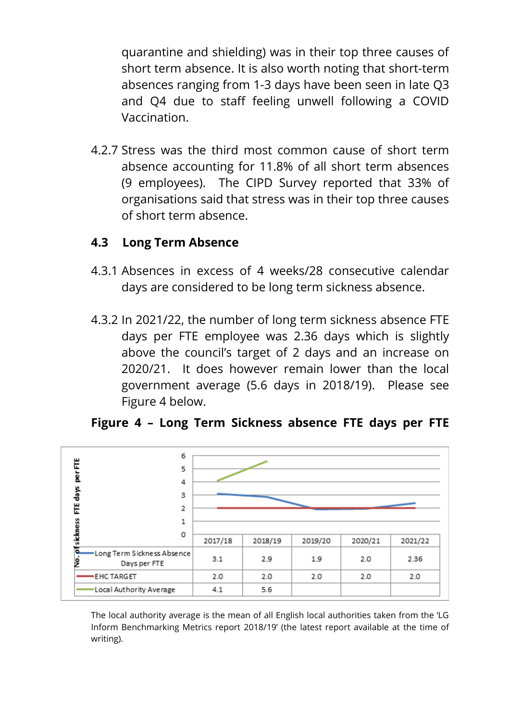quarantine and shielding) was in their top three causes of short term absence. It is also worth noting that short-term absences ranging from 1-3 days have been seen in late Q3 and Q4 due to staff feeling unwell following a COVID Vaccination.

4.2.7 Stress was the third most common cause of short term absence accounting for 11.8% of all short term absences (9 employees). The CIPD Survey reported that 33% of organisations said that stress was in their top three causes of short term absence.

#### **4.3 Long Term Absence**

- 4.3.1 Absences in excess of 4 weeks/28 consecutive calendar days are considered to be long term sickness absence.
- 4.3.2 In 2021/22, the number of long term sickness absence FTE days per FTE employee was 2.36 days which is slightly above the council's target of 2 days and an increase on 2020/21. It does however remain lower than the local government average (5.6 days in 2018/19). Please see Figure 4 below.



#### **Figure 4 – Long Term Sickness absence FTE days per FTE**

The local authority average is the mean of all English local authorities taken from the 'LG Inform Benchmarking Metrics report 2018/19' (the latest report available at the time of writing).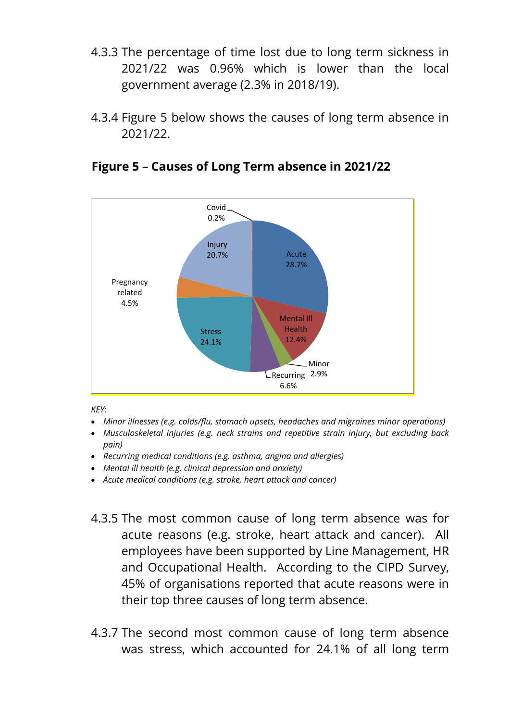- 4.3.3 The percentage of time lost due to long term sickness in 2021/22 was 0.96% which is lower than the local government average (2.3% in 2018/19).
- 4.3.4 Figure 5 below shows the causes of long term absence in 2021/22.



**Figure 5 – Causes of Long Term absence in 2021/22**

*KEY:*

- *Minor illnesses (e.g. colds/flu, stomach upsets, headaches and migraines minor operations)*
- *Musculoskeletal injuries (e.g. neck strains and repetitive strain injury, but excluding back pain)*
- *Recurring medical conditions (e.g. asthma, angina and allergies)*
- *Mental ill health (e.g. clinical depression and anxiety)*
- *Acute medical conditions (e.g. stroke, heart attack and cancer)*
- 4.3.5 The most common cause of long term absence was for acute reasons (e.g. stroke, heart attack and cancer). All employees have been supported by Line Management, HR and Occupational Health. According to the CIPD Survey, 45% of organisations reported that acute reasons were in their top three causes of long term absence.
- 4.3.7 The second most common cause of long term absence was stress, which accounted for 24.1% of all long term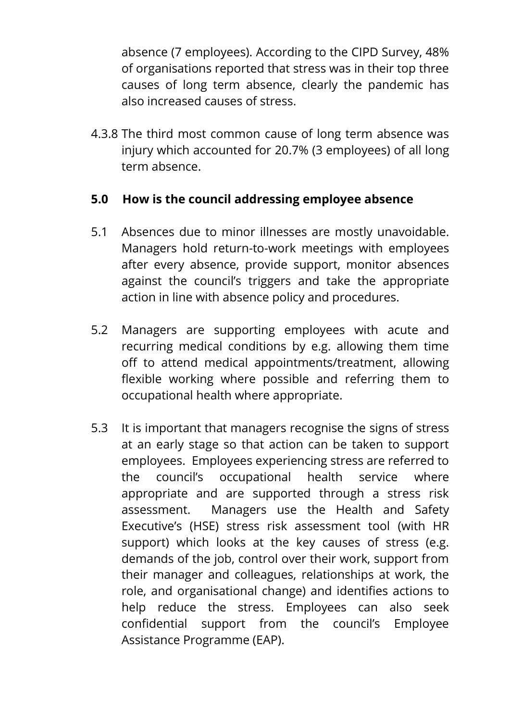absence (7 employees). According to the CIPD Survey, 48% of organisations reported that stress was in their top three causes of long term absence, clearly the pandemic has also increased causes of stress.

4.3.8 The third most common cause of long term absence was injury which accounted for 20.7% (3 employees) of all long term absence.

### **5.0 How is the council addressing employee absence**

- 5.1 Absences due to minor illnesses are mostly unavoidable. Managers hold return-to-work meetings with employees after every absence, provide support, monitor absences against the council's triggers and take the appropriate action in line with absence policy and procedures.
- 5.2 Managers are supporting employees with acute and recurring medical conditions by e.g. allowing them time off to attend medical appointments/treatment, allowing flexible working where possible and referring them to occupational health where appropriate.
- 5.3 It is important that managers recognise the signs of stress at an early stage so that action can be taken to support employees. Employees experiencing stress are referred to the council's occupational health service where appropriate and are supported through a stress risk assessment. Managers use the Health and Safety Executive's (HSE) stress risk assessment tool (with HR support) which looks at the key causes of stress (e.g. demands of the job, control over their work, support from their manager and colleagues, relationships at work, the role, and organisational change) and identifies actions to help reduce the stress. Employees can also seek confidential support from the council's Employee Assistance Programme (EAP).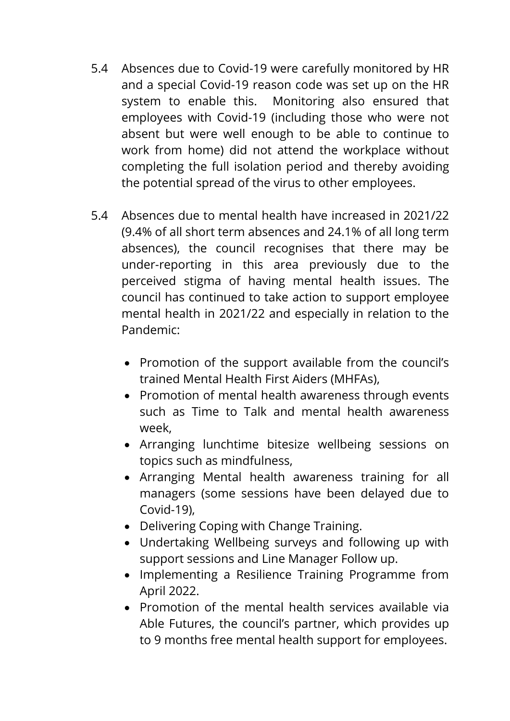- 5.4 Absences due to Covid-19 were carefully monitored by HR and a special Covid-19 reason code was set up on the HR system to enable this. Monitoring also ensured that employees with Covid-19 (including those who were not absent but were well enough to be able to continue to work from home) did not attend the workplace without completing the full isolation period and thereby avoiding the potential spread of the virus to other employees.
- 5.4 Absences due to mental health have increased in 2021/22 (9.4% of all short term absences and 24.1% of all long term absences), the council recognises that there may be under-reporting in this area previously due to the perceived stigma of having mental health issues. The council has continued to take action to support employee mental health in 2021/22 and especially in relation to the Pandemic:
	- Promotion of the support available from the council's trained Mental Health First Aiders (MHFAs),
	- Promotion of mental health awareness through events such as Time to Talk and mental health awareness week,
	- Arranging lunchtime bitesize wellbeing sessions on topics such as mindfulness,
	- Arranging Mental health awareness training for all managers (some sessions have been delayed due to Covid-19),
	- Delivering Coping with Change Training.
	- Undertaking Wellbeing surveys and following up with support sessions and Line Manager Follow up.
	- Implementing a Resilience Training Programme from April 2022.
	- Promotion of the mental health services available via Able Futures, the council's partner, which provides up to 9 months free mental health support for employees.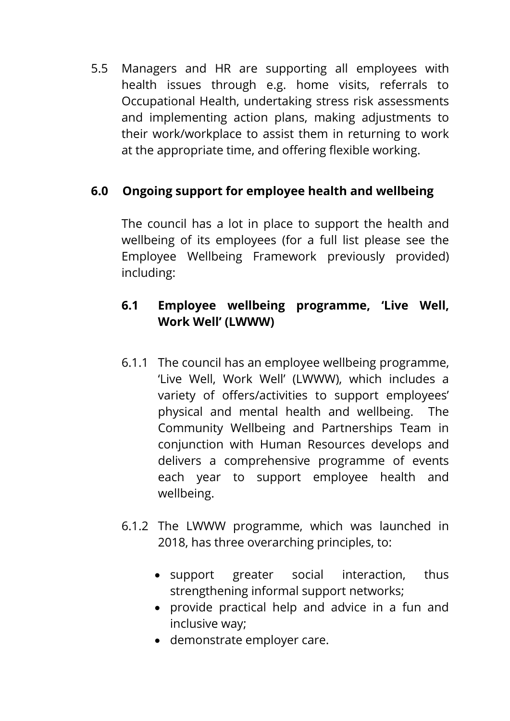5.5 Managers and HR are supporting all employees with health issues through e.g. home visits, referrals to Occupational Health, undertaking stress risk assessments and implementing action plans, making adjustments to their work/workplace to assist them in returning to work at the appropriate time, and offering flexible working.

## **6.0 Ongoing support for employee health and wellbeing**

The council has a lot in place to support the health and wellbeing of its employees (for a full list please see the Employee Wellbeing Framework previously provided) including:

## **6.1 Employee wellbeing programme, 'Live Well, Work Well' (LWWW)**

- 6.1.1 The council has an employee wellbeing programme, 'Live Well, Work Well' (LWWW), which includes a variety of offers/activities to support employees' physical and mental health and wellbeing. The Community Wellbeing and Partnerships Team in conjunction with Human Resources develops and delivers a comprehensive programme of events each year to support employee health and wellbeing.
- 6.1.2 The LWWW programme, which was launched in 2018, has three overarching principles, to:
	- support greater social interaction, thus strengthening informal support networks;
	- provide practical help and advice in a fun and inclusive way;
	- demonstrate employer care.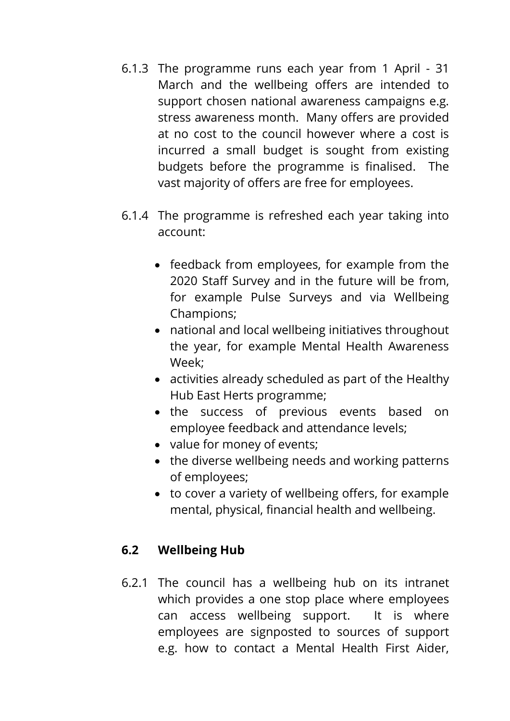- 6.1.3 The programme runs each year from 1 April 31 March and the wellbeing offers are intended to support chosen national awareness campaigns e.g. stress awareness month. Many offers are provided at no cost to the council however where a cost is incurred a small budget is sought from existing budgets before the programme is finalised. The vast majority of offers are free for employees.
- 6.1.4 The programme is refreshed each year taking into account:
	- feedback from employees, for example from the 2020 Staff Survey and in the future will be from, for example Pulse Surveys and via Wellbeing Champions;
	- national and local wellbeing initiatives throughout the year, for example Mental Health Awareness Week;
	- activities already scheduled as part of the Healthy Hub East Herts programme;
	- the success of previous events based on employee feedback and attendance levels;
	- value for money of events;
	- the diverse wellbeing needs and working patterns of employees;
	- to cover a variety of wellbeing offers, for example mental, physical, financial health and wellbeing.

## **6.2 Wellbeing Hub**

6.2.1 The council has a wellbeing hub on its intranet which provides a one stop place where employees can access wellbeing support. It is where employees are signposted to sources of support e.g. how to contact a Mental Health First Aider,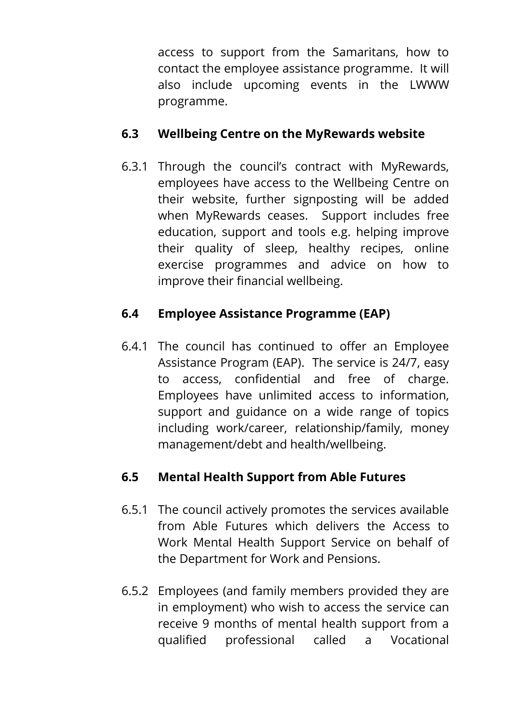access to support from the Samaritans, how to contact the employee assistance programme. It will also include upcoming events in the LWWW programme.

### **6.3 Wellbeing Centre on the MyRewards website**

6.3.1 Through the council's contract with MyRewards, employees have access to the Wellbeing Centre on their website, further signposting will be added when MyRewards ceases. Support includes free education, support and tools e.g. helping improve their quality of sleep, healthy recipes, online exercise programmes and advice on how to improve their financial wellbeing.

## **6.4 Employee Assistance Programme (EAP)**

6.4.1 The council has continued to offer an Employee Assistance Program (EAP). The service is 24/7, easy to access, confidential and free of charge. Employees have unlimited access to information, support and guidance on a wide range of topics including work/career, relationship/family, money management/debt and health/wellbeing.

# **6.5 Mental Health Support from Able Futures**

- 6.5.1 The council actively promotes the services available from Able Futures which delivers the Access to Work Mental Health Support Service on behalf of the Department for Work and Pensions.
- 6.5.2 Employees (and family members provided they are in employment) who wish to access the service can receive 9 months of mental health support from a qualified professional called a Vocational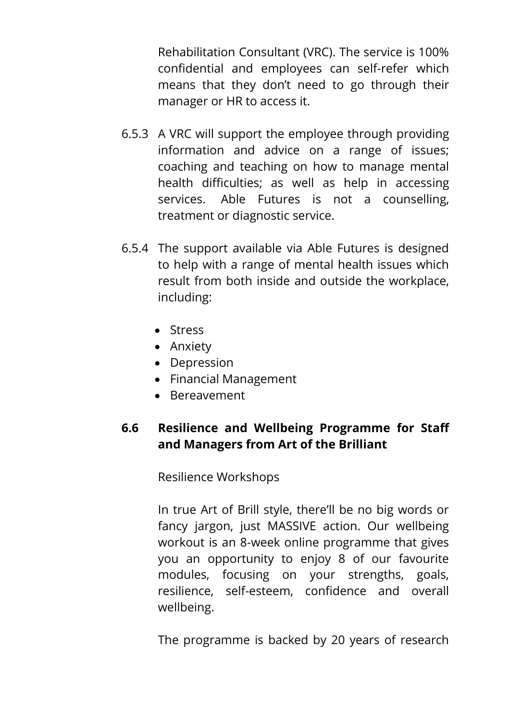Rehabilitation Consultant (VRC). The service is 100% confidential and employees can self-refer which means that they don't need to go through their manager or HR to access it.

- 6.5.3 A VRC will support the employee through providing information and advice on a range of issues; coaching and teaching on how to manage mental health difficulties; as well as help in accessing services. Able Futures is not a counselling, treatment or diagnostic service.
- 6.5.4 The support available via Able Futures is designed to help with a range of mental health issues which result from both inside and outside the workplace, including:
	- Stress
	- Anxiety
	- Depression
	- Financial Management
	- Bereavement

## **6.6 Resilience and Wellbeing Programme for Staff and Managers from Art of the Brilliant**

Resilience Workshops

In true Art of Brill style, there'll be no big words or fancy jargon, just MASSIVE action. Our wellbeing workout is an 8-week online programme that gives you an opportunity to enjoy 8 of our favourite modules, focusing on your strengths, goals, resilience, self-esteem, confidence and overall wellbeing.

The programme is backed by 20 years of research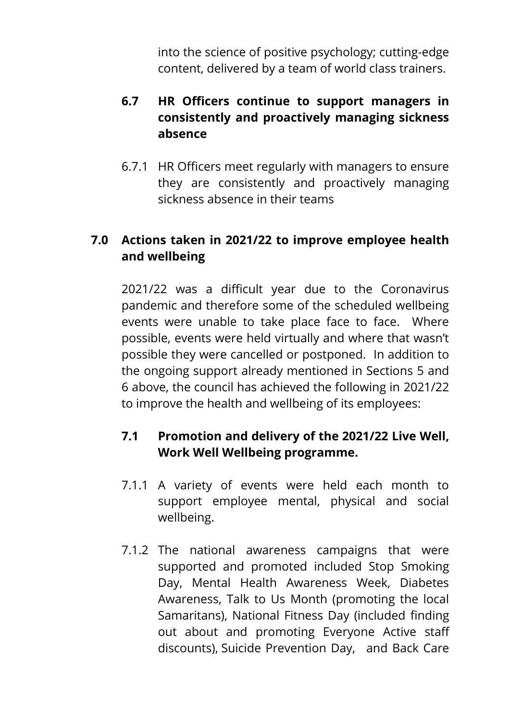into the science of positive psychology; cutting-edge content, delivered by a team of world class trainers.

### **6.7 HR Officers continue to support managers in consistently and proactively managing sickness absence**

6.7.1 HR Officers meet regularly with managers to ensure they are consistently and proactively managing sickness absence in their teams

### **7.0 Actions taken in 2021/22 to improve employee health and wellbeing**

2021/22 was a difficult year due to the Coronavirus pandemic and therefore some of the scheduled wellbeing events were unable to take place face to face. Where possible, events were held virtually and where that wasn't possible they were cancelled or postponed. In addition to the ongoing support already mentioned in Sections 5 and 6 above, the council has achieved the following in 2021/22 to improve the health and wellbeing of its employees:

### **7.1 Promotion and delivery of the 2021/22 Live Well, Work Well Wellbeing programme.**

- 7.1.1 A variety of events were held each month to support employee mental, physical and social wellbeing.
- 7.1.2 The national awareness campaigns that were supported and promoted included Stop Smoking Day, Mental Health Awareness Week, Diabetes Awareness, Talk to Us Month (promoting the local Samaritans), National Fitness Day (included finding out about and promoting Everyone Active staff discounts), Suicide Prevention Day, and Back Care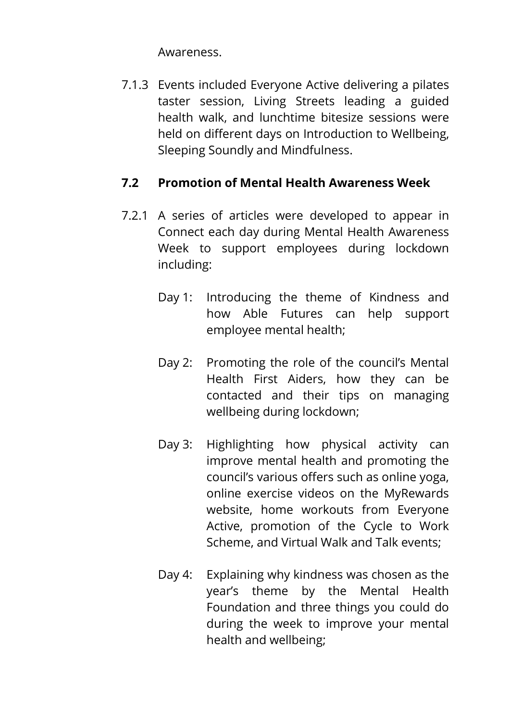Awareness.

7.1.3 Events included Everyone Active delivering a pilates taster session, Living Streets leading a guided health walk, and lunchtime bitesize sessions were held on different days on Introduction to Wellbeing, Sleeping Soundly and Mindfulness.

### **7.2 Promotion of Mental Health Awareness Week**

- 7.2.1 A series of articles were developed to appear in Connect each day during Mental Health Awareness Week to support employees during lockdown including:
	- Day 1: Introducing the theme of Kindness and how Able Futures can help support employee mental health;
	- Day 2: Promoting the role of the council's Mental Health First Aiders, how they can be contacted and their tips on managing wellbeing during lockdown;
	- Day 3: Highlighting how physical activity can improve mental health and promoting the council's various offers such as online yoga, online exercise videos on the MyRewards website, home workouts from Everyone Active, promotion of the Cycle to Work Scheme, and Virtual Walk and Talk events;
	- Day 4: Explaining why kindness was chosen as the year's theme by the Mental Health Foundation and three things you could do during the week to improve your mental health and wellbeing;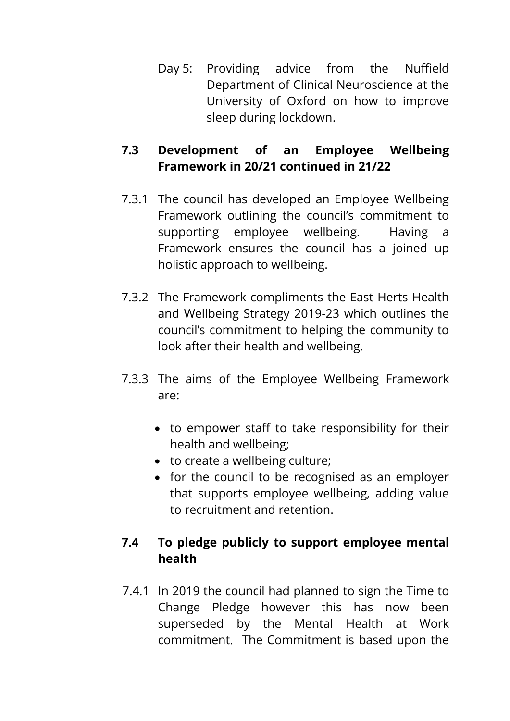Day 5: Providing advice from the Nuffield Department of Clinical Neuroscience at the University of Oxford on how to improve sleep during lockdown.

## **7.3 Development of an Employee Wellbeing Framework in 20/21 continued in 21/22**

- 7.3.1 The council has developed an Employee Wellbeing Framework outlining the council's commitment to supporting employee wellbeing. Having a Framework ensures the council has a joined up holistic approach to wellbeing.
- 7.3.2 The Framework compliments the East Herts Health and Wellbeing Strategy 2019-23 which outlines the council's commitment to helping the community to look after their health and wellbeing.
- 7.3.3 The aims of the Employee Wellbeing Framework are:
	- to empower staff to take responsibility for their health and wellbeing;
	- to create a wellbeing culture;
	- for the council to be recognised as an employer that supports employee wellbeing, adding value to recruitment and retention.

## **7.4 To pledge publicly to support employee mental health**

7.4.1 In 2019 the council had planned to sign the Time to Change Pledge however this has now been superseded by the Mental Health at Work commitment. The Commitment is based upon the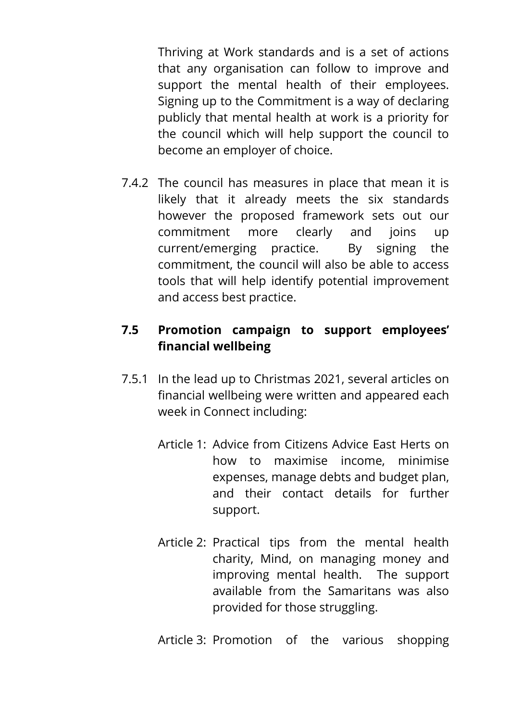Thriving at Work standards and is a set of actions that any organisation can follow to improve and support the mental health of their employees. Signing up to the Commitment is a way of declaring publicly that mental health at work is a priority for the council which will help support the council to become an employer of choice.

7.4.2 The council has measures in place that mean it is likely that it already meets the six standards however the proposed framework sets out our commitment more clearly and joins up current/emerging practice. By signing the commitment, the council will also be able to access tools that will help identify potential improvement and access best practice.

### **7.5 Promotion campaign to support employees' financial wellbeing**

- 7.5.1 In the lead up to Christmas 2021, several articles on financial wellbeing were written and appeared each week in Connect including:
	- Article 1: Advice from Citizens Advice East Herts on how to maximise income, minimise expenses, manage debts and budget plan, and their contact details for further support.
	- Article 2: Practical tips from the mental health charity, Mind, on managing money and improving mental health. The support available from the Samaritans was also provided for those struggling.
	- Article 3: Promotion of the various shopping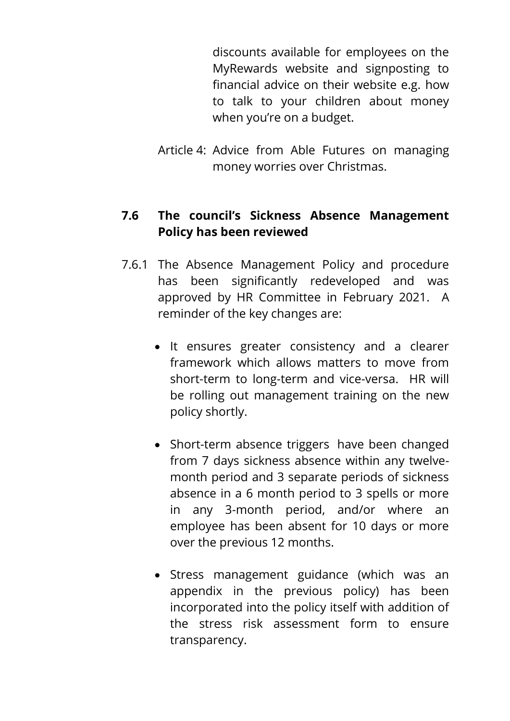discounts available for employees on the MyRewards website and signposting to financial advice on their website e.g. how to talk to your children about money when you're on a budget.

Article 4: Advice from Able Futures on managing money worries over Christmas.

### **7.6 The council's Sickness Absence Management Policy has been reviewed**

- 7.6.1 The Absence Management Policy and procedure has been significantly redeveloped and was approved by HR Committee in February 2021. A reminder of the key changes are:
	- It ensures greater consistency and a clearer framework which allows matters to move from short-term to long-term and vice-versa. HR will be rolling out management training on the new policy shortly.
	- Short-term absence triggers have been changed from 7 days sickness absence within any twelvemonth period and 3 separate periods of sickness absence in a 6 month period to 3 spells or more in any 3-month period, and/or where an employee has been absent for 10 days or more over the previous 12 months.
	- Stress management guidance (which was an appendix in the previous policy) has been incorporated into the policy itself with addition of the stress risk assessment form to ensure transparency.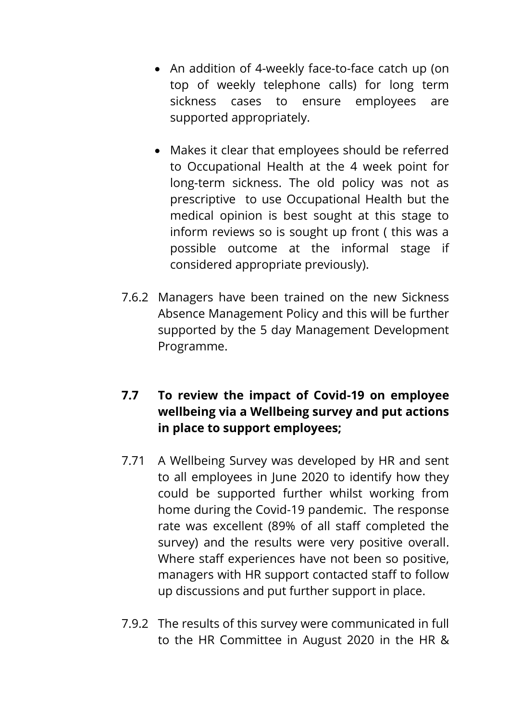- An addition of 4-weekly face-to-face catch up (on top of weekly telephone calls) for long term sickness cases to ensure employees are supported appropriately.
- Makes it clear that employees should be referred to Occupational Health at the 4 week point for long-term sickness. The old policy was not as prescriptive to use Occupational Health but the medical opinion is best sought at this stage to inform reviews so is sought up front ( this was a possible outcome at the informal stage if considered appropriate previously).
- 7.6.2 Managers have been trained on the new Sickness Absence Management Policy and this will be further supported by the 5 day Management Development Programme.

## **7.7 To review the impact of Covid-19 on employee wellbeing via a Wellbeing survey and put actions in place to support employees;**

- 7.71 A Wellbeing Survey was developed by HR and sent to all employees in June 2020 to identify how they could be supported further whilst working from home during the Covid-19 pandemic. The response rate was excellent (89% of all staff completed the survey) and the results were very positive overall. Where staff experiences have not been so positive, managers with HR support contacted staff to follow up discussions and put further support in place.
- 7.9.2 The results of this survey were communicated in full to the HR Committee in August 2020 in the HR &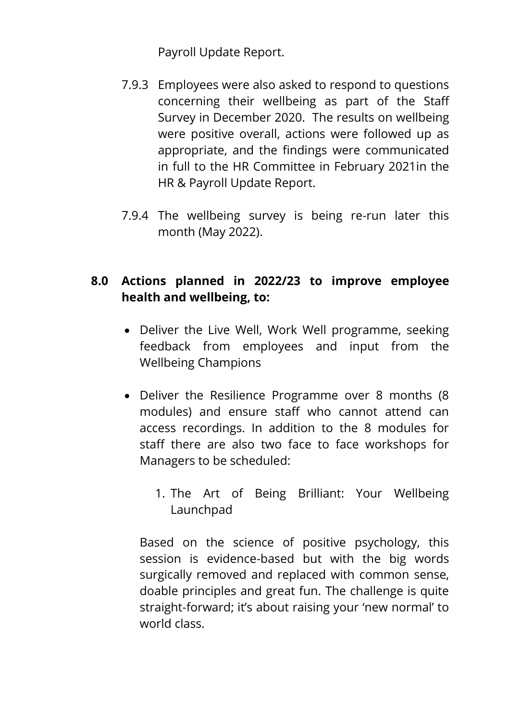Payroll Update Report.

- 7.9.3 Employees were also asked to respond to questions concerning their wellbeing as part of the Staff Survey in December 2020. The results on wellbeing were positive overall, actions were followed up as appropriate, and the findings were communicated in full to the HR Committee in February 2021in the HR & Payroll Update Report.
- 7.9.4 The wellbeing survey is being re-run later this month (May 2022).

## **8.0 Actions planned in 2022/23 to improve employee health and wellbeing, to:**

- Deliver the Live Well, Work Well programme, seeking feedback from employees and input from the Wellbeing Champions
- Deliver the Resilience Programme over 8 months (8) modules) and ensure staff who cannot attend can access recordings. In addition to the 8 modules for staff there are also two face to face workshops for Managers to be scheduled:
	- 1. The Art of Being Brilliant: Your Wellbeing Launchpad

Based on the science of positive psychology, this session is evidence-based but with the big words surgically removed and replaced with common sense, doable principles and great fun. The challenge is quite straight-forward; it's about raising your 'new normal' to world class.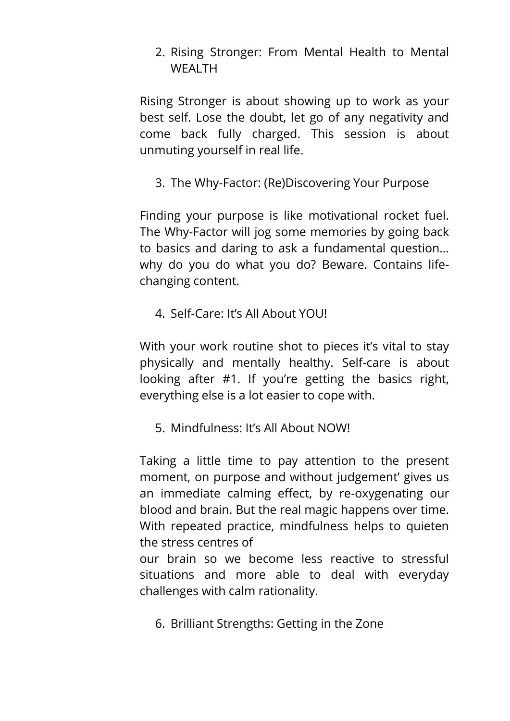2. Rising Stronger: From Mental Health to Mental WEALTH

Rising Stronger is about showing up to work as your best self. Lose the doubt, let go of any negativity and come back fully charged. This session is about unmuting yourself in real life.

3. The Why-Factor: (Re)Discovering Your Purpose

Finding your purpose is like motivational rocket fuel. The Why-Factor will jog some memories by going back to basics and daring to ask a fundamental question… why do you do what you do? Beware. Contains lifechanging content.

4. Self-Care: It's All About YOU!

With your work routine shot to pieces it's vital to stay physically and mentally healthy. Self-care is about looking after #1. If you're getting the basics right, everything else is a lot easier to cope with.

5. Mindfulness: It's All About NOW!

Taking a little time to pay attention to the present moment, on purpose and without judgement' gives us an immediate calming effect, by re-oxygenating our blood and brain. But the real magic happens over time. With repeated practice, mindfulness helps to quieten the stress centres of

our brain so we become less reactive to stressful situations and more able to deal with everyday challenges with calm rationality.

6. Brilliant Strengths: Getting in the Zone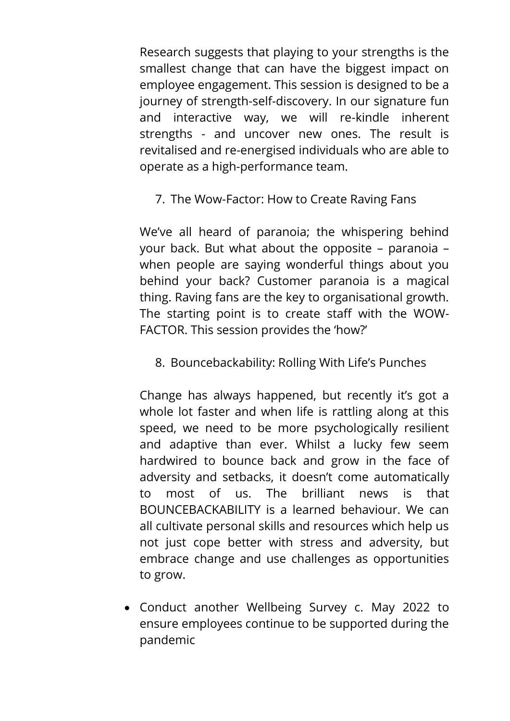Research suggests that playing to your strengths is the smallest change that can have the biggest impact on employee engagement. This session is designed to be a journey of strength-self-discovery. In our signature fun and interactive way, we will re-kindle inherent strengths - and uncover new ones. The result is revitalised and re-energised individuals who are able to operate as a high-performance team.

7. The Wow-Factor: How to Create Raving Fans

We've all heard of paranoia; the whispering behind your back. But what about the opposite – paranoia – when people are saying wonderful things about you behind your back? Customer paranoia is a magical thing. Raving fans are the key to organisational growth. The starting point is to create staff with the WOW-FACTOR. This session provides the 'how?'

8. Bouncebackability: Rolling With Life's Punches

Change has always happened, but recently it's got a whole lot faster and when life is rattling along at this speed, we need to be more psychologically resilient and adaptive than ever. Whilst a lucky few seem hardwired to bounce back and grow in the face of adversity and setbacks, it doesn't come automatically to most of us. The brilliant news is that BOUNCEBACKABILITY is a learned behaviour. We can all cultivate personal skills and resources which help us not just cope better with stress and adversity, but embrace change and use challenges as opportunities to grow.

 Conduct another Wellbeing Survey c. May 2022 to ensure employees continue to be supported during the pandemic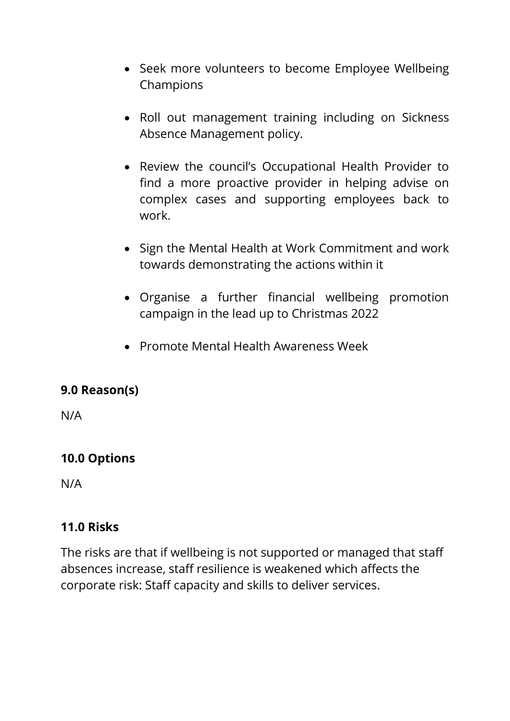- Seek more volunteers to become Employee Wellbeing Champions
- Roll out management training including on Sickness Absence Management policy.
- Review the council's Occupational Health Provider to find a more proactive provider in helping advise on complex cases and supporting employees back to work.
- Sign the Mental Health at Work Commitment and work towards demonstrating the actions within it
- Organise a further financial wellbeing promotion campaign in the lead up to Christmas 2022
- Promote Mental Health Awareness Week

### **9.0 Reason(s)**

N/A

### **10.0 Options**

N/A

#### **11.0 Risks**

The risks are that if wellbeing is not supported or managed that staff absences increase, staff resilience is weakened which affects the corporate risk: Staff capacity and skills to deliver services.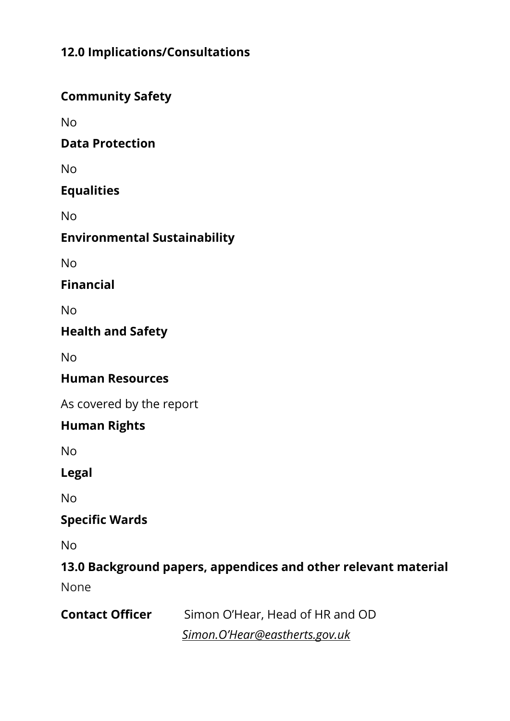## **12.0 Implications/Consultations**

## **Community Safety**

No

### **Data Protection**

No

## **Equalities**

No

## **Environmental Sustainability**

No

**Financial**

No

### **Health and Safety**

No

### **Human Resources**

As covered by the report

### **Human Rights**

No

**Legal**

No

### **Specific Wards**

No

# **13.0 Background papers, appendices and other relevant material**

None

| <b>Contact Officer</b> | Simon O'Hear, Head of HR and OD |
|------------------------|---------------------------------|
|                        | Simon.O'Hear@eastherts.gov.uk   |